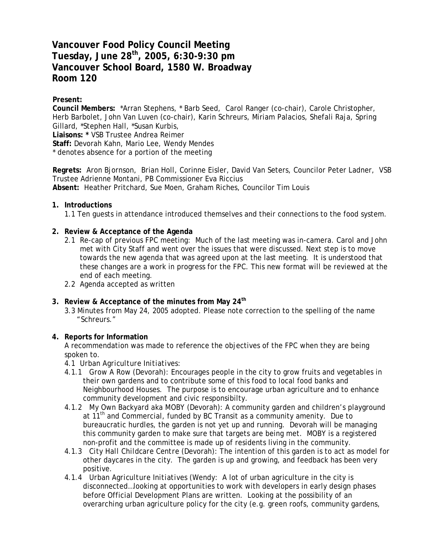# **Vancouver Food Policy Council Meeting Tuesday, June 28th, 2005, 6:30-9:30 pm Vancouver School Board, 1580 W. Broadway Room 120**

# **Present:**

**Council Members:** \*Arran Stephens, \* Barb Seed, Carol Ranger (co-chair), Carole Christopher, Herb Barbolet, John Van Luven (co-chair), Karin Schreurs, Miriam Palacios, Shefali Raja, Spring Gillard, \*Stephen Hall, \*Susan Kurbis, **Liaisons: \*** VSB Trustee Andrea Reimer

**Staff:** Devorah Kahn, Mario Lee, Wendy Mendes

\* denotes absence for a portion of the meeting

**Regrets:** Aron Bjornson, Brian Holl, Corinne Eisler, David Van Seters, Councilor Peter Ladner, VSB Trustee Adrienne Montani, PB Commissioner Eva Riccius **Absent:** Heather Pritchard, Sue Moen, Graham Riches, Councilor Tim Louis

# **1. Introductions**

1.1 Ten guests in attendance introduced themselves and their connections to the food system.

# **2. Review & Acceptance of the Agenda**

- 2.1 Re-cap of previous FPC meeting: Much of the last meeting was in-camera. Carol and John met with City Staff and went over the issues that were discussed. Next step is to move towards the new agenda that was agreed upon at the last meeting. It is understood that these changes are a work in progress for the FPC. This new format will be reviewed at the end of each meeting.
- 2.2 Agenda accepted as written

### **3. Review & Acceptance of the minutes from May 24th**

3.3 Minutes from May 24, 2005 adopted. Please note correction to the spelling of the name "Schreurs."

#### **4. Reports for Information**

A recommendation was made to reference the objectives of the FPC when they are being spoken to.

- *4.1 Urban Agriculture Initiatives:*
- 4.1.1 *Grow A Row* (Devorah): Encourages people in the city to grow fruits and vegetables in their own gardens and to contribute some of this food to local food banks and Neighbourhood Houses. The purpose is to encourage urban agriculture and to enhance community development and civic responsibilty.
- 4.1.2 *My Own Backyard aka MOBY* (Devorah): A community garden and children's playground at  $11<sup>th</sup>$  and Commercial, funded by BC Transit as a community amenity. Due to bureaucratic hurdles, the garden is not yet up and running. Devorah will be managing this community garden to make sure that targets are being met. MOBY is a registered non-profit and the committee is made up of residents living in the community.
- 4.1.3 *City Hall Childcare Centre* (Devorah): The intention of this garden is to act as model for other daycares in the city. The garden is up and growing, and feedback has been very positive.
- 4.1.4 *Urban Agriculture Initiatives* (Wendy: A lot of urban agriculture in the city is disconnected…looking at opportunities to work with developers in early design phases before Official Development Plans are written. Looking at the possibility of an overarching urban agriculture policy for the city (e.g. green roofs, community gardens,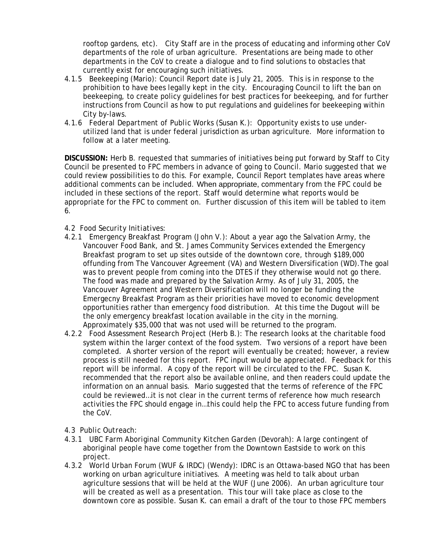rooftop gardens, etc). City Staff are in the process of educating and informing other CoV departments of the role of urban agriculture. Presentations are being made to other departments in the CoV to create a dialogue and to find solutions to obstacles that currently exist for encouraging such initiatives.

- 4.1.5 *Beekeeping* (Mario): Council Report date is July 21, 2005. This is in response to the prohibition to have bees legally kept in the city. Encouraging Council to lift the ban on beekeeping, to create policy guidelines for best practices for beekeeping, and for further instructions from Council as how to put regulations and guidelines for beekeeping within City by-laws.
- 4.1.6 *Federal Department of Public Works* (Susan K.): Opportunity exists to use underutilized land that is under federal jurisdiction as urban agriculture. More information to follow at a later meeting.

**DISCUSSION:** Herb B. requested that summaries of initiatives being put forward by Staff to City Council be presented to FPC members in advance of going to Council. Mario suggested that we could review possibilities to do this. For example, Council Report templates have areas where additional comments can be included. When appropriate, commentary from the FPC could be included in these sections of the report. Staff would determine what reports would be appropriate for the FPC to comment on. Further discussion of this item will be tabled to item 6.

- *4.2 Food Security Initiatives:*
- *4.2.1 Emergency Breakfast Program* (John V.): About a year ago the Salvation Army, the Vancouver Food Bank, and St. James Community Services extended the Emergency Breakfast program to set up sites outside of the downtown core, through \$189,000 offunding from The Vancouver Agreement (VA) and Western Diversification (WD).The goal was to prevent people from coming into the DTES if they otherwise would not go there. The food was made and prepared by the Salvation Army. As of July 31, 2005, the Vancouver Agreement and Western Diversification will no longer be funding the Emergecny Breakfast Program as their priorities have moved to economic development opportunities rather than emergency food distribution. At this time the Dugout will be the only emergency breakfast location available in the city in the morning. Approximately \$35,000 that was not used will be returned to the program.
- *4.2.2 Food Assessment Research Project* (Herb B.): The research looks at the charitable food system within the larger context of the food system. Two versions of a report have been completed. A shorter version of the report will eventually be created; however, a review process is still needed for this report. FPC input would be appreciated. Feedback for this report will be informal. A copy of the report will be circulated to the FPC. Susan K. recommended that the report also be available online, and then readers could update the information on an annual basis. Mario suggested that the terms of reference of the FPC could be reviewed…it is not clear in the current terms of reference how much research activities the FPC should engage in…this could help the FPC to access future funding from the CoV.
- *4.3 Public Outreach:*
- *4.3.1 UBC Farm Aboriginal Community Kitchen Garden* (Devorah): A large contingent of aboriginal people have come together from the Downtown Eastside to work on this project.
- 4.3.2 *World Urban Forum (WUF & IRDC)* (Wendy): IDRC is an Ottawa-based NGO that has been working on urban agriculture initiatives. A meeting was held to talk about urban agriculture sessions that will be held at the WUF (June 2006). An urban agriculture tour will be created as well as a presentation. This tour will take place as close to the downtown core as possible. Susan K. can email a draft of the tour to those FPC members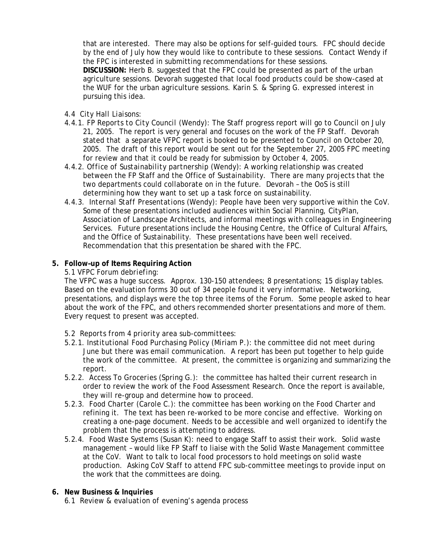that are interested. There may also be options for self-guided tours. FPC should decide by the end of July how they would like to contribute to these sessions. Contact Wendy if the FPC is interested in submitting recommendations for these sessions.

**DISCUSSION:** Herb B. suggested that the FPC could be presented as part of the urban agriculture sessions. Devorah suggested that local food products could be show-cased at the WUF for the urban agriculture sessions. Karin S. & Spring G. expressed interest in pursuing this idea.

- *4.4 City Hall Liaisons:*
- *4.4.1. FP Reports to City Council* (Wendy): The Staff progress report will go to Council on July 21, 2005. The report is very general and focuses on the work of the FP Staff. Devorah stated that a separate VFPC report is booked to be presented to Council on October 20, 2005. The draft of this report would be sent out for the September 27, 2005 FPC meeting for review and that it could be ready for submission by October 4, 2005.
- 4.4.2. *Office of Sustainability partnership* (Wendy): A working relationship was created between the FP Staff and the Office of Sustainability. There are many projects that the two departments could collaborate on in the future. Devorah – the OoS is still determining how they want to set up a task force on sustainability.
- 4.4.3. *Internal Staff Presentations* (Wendy): People have been very supportive within the CoV. Some of these presentations included audiences within Social Planning, CityPlan, Association of Landscape Architects, and informal meetings with colleagues in Engineering Services. Future presentations include the Housing Centre, the Office of Cultural Affairs, and the Office of Sustainability. These presentations have been well received. Recommendation that this presentation be shared with the FPC.

# **5. Follow–up of Items Requiring Action**

# *5.1 VFPC Forum debriefing:*

The VFPC was a huge success. Approx. 130-150 attendees; 8 presentations; 15 display tables. Based on the evaluation forms 30 out of 34 people found it very informative. Networking, presentations, and displays were the top three items of the Forum. Some people asked to hear about the work of the FPC, and others recommended shorter presentations and more of them. Every request to present was accepted.

- 5.2 *Reports from 4 priority area sub-committees:*
- *5.2.1. Institutional Food Purchasing Policy* (Miriam P.): the committee did not meet during June but there was email communication. A report has been put together to help guide the work of the committee. At present, the committee is organizing and summarizing the report.
- 5.2.2. *Access To Groceries* (Spring G.): the committee has halted their current research in order to review the work of the Food Assessment Research. Once the report is available, they will re-group and determine how to proceed.
- 5.2.3. *Food Charter* (Carole C.): the committee has been working on the Food Charter and refining it. The text has been re-worked to be more concise and effective. Working on creating a one-page document. Needs to be accessible and well organized to identify the problem that the process is attempting to address.
- *5.2.4. Food Waste Systems* (Susan K): need to engage Staff to assist their work. Solid waste management – would like FP Staff to liaise with the Solid Waste Management committee at the CoV. Want to talk to local food processors to hold meetings on solid waste production. Asking CoV Staff to attend FPC sub-committee meetings to provide input on the work that the committees are doing.
- **6. New Business & Inquiries** 
	- *6.1 Review & evaluation of evening's agenda process*